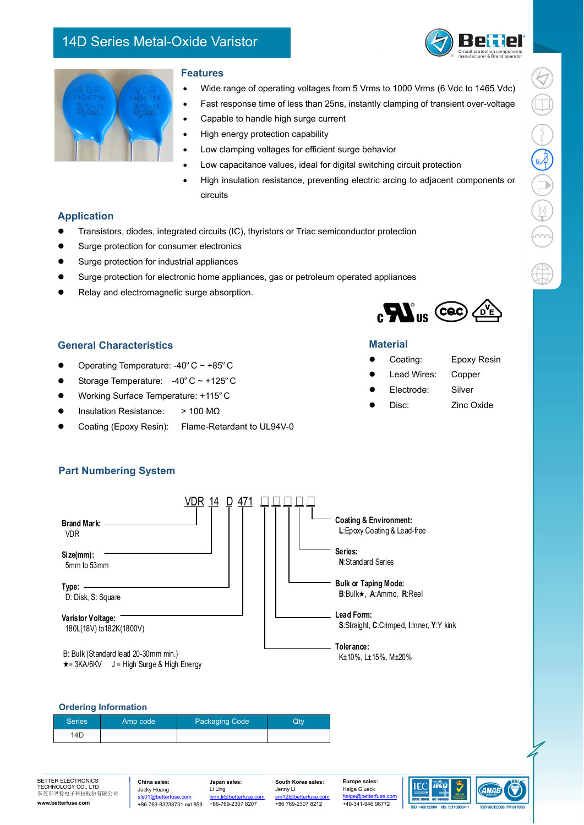# 14D Series Metal-Oxide Varistor



 $\textcircled{\footnotesize{1}}\oplus \textcircled{\footnotesize{2}}\oplus \textcircled{\footnotesize{3}}$ 

 $\bigoplus$ 



### **Features**

- Wide range of operating voltages from 5 Vrms to 1000 Vrms (6 Vdc to 1465 Vdc)
- Fast response time of less than 25ns, instantly clamping of transient over-voltage
- Capable to handle high surge current
- High energy protection capability
- Low clamping voltages for efficient surge behavior
- Low capacitance values, ideal for digital switching circuit protection
- High insulation resistance, preventing electric arcing to adjacent components or circuits

## **Application**

- Transistors, diodes, integrated circuits (IC), thyristors or Triac semiconductor protection
- **•** Surge protection for consumer electronics
- Surge protection for industrial appliances
- Surge protection for electronic home appliances, gas or petroleum operated appliances
- Relay and electromagnetic surge absorption.



## **General Characteristics**

- Operating Temperature: -40ºC ~ +85ºC
- $\bullet$  Storage Temperature: -40° C ~ +125° C
- Working Surface Temperature: +115ºC
- Insulation Resistance: > 100 MΩ
- Coating (Epoxy Resin): Flame-Retardant to UL94V-0

# **Material**

- Coating: Epoxy Resin
	- Lead Wires: Copper
	- Electrode: Silver
- Disc: Zinc Oxide
	-

# **Part Numbering System**



BETTER ELECTRONICS TECHNOLOGY CO., LTD 东莞市贝特电子科技股份有限公司 **www.betterfuse.com** 

**China sales:**  Jacky Huang sls01@bet +86 769-83238731 ext.859

**Japan sales:** Li Ling lynn.li +86-769-2307 8207 **South Korea sales:** Jenny Li  $\frac{1}{2}$ m12@h +86 769-2307 8212

**Europe sales:** Helge Glueck helge@betterfuse.com +49-341-946 98772



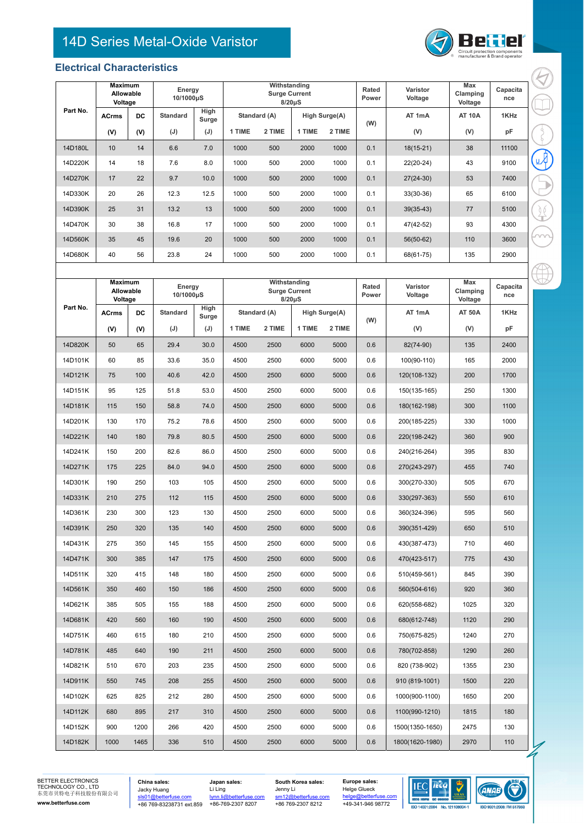# 14D Series Metal-Oxide Varistor



#### **Electrical Characteristics**

|          | <b>Maximum</b><br>Allowable<br>Voltage |           | Energy<br>10/1000µS |                      | Withstanding<br><b>Surge Current</b><br>$8/20\mu S$ |        |                      |        | Rated<br>Power | Varistor<br>Voltage | Max<br>Clamping<br>Voltage | Capacita<br>nce |
|----------|----------------------------------------|-----------|---------------------|----------------------|-----------------------------------------------------|--------|----------------------|--------|----------------|---------------------|----------------------------|-----------------|
| Part No. | <b>ACrms</b>                           | <b>DC</b> | <b>Standard</b>     | <b>High</b><br>Surge | Standard (A)                                        |        | <b>High Surge(A)</b> |        | (W)            | AT 1mA              | <b>AT 10A</b>              | 1KHz            |
|          | (V)                                    | (V)       | (J)                 | (J)                  | 1 TIME                                              | 2 TIME | 1 TIME               | 2 TIME |                | (V)                 | (V)                        | pF              |
| 14D180L  | 10                                     | 14        | 6.6                 | 7.0                  | 1000                                                | 500    | 2000                 | 1000   | 0.1            | $18(15-21)$         | 38                         | 11100           |
| 14D220K  | 14                                     | 18        | 7.6                 | 8.0                  | 1000                                                | 500    | 2000                 | 1000   | 0.1            | 22(20-24)           | 43                         | 9100            |
| 14D270K  | 17                                     | 22        | 9.7                 | 10.0                 | 1000                                                | 500    | 2000                 | 1000   | 0.1            | $27(24-30)$         | 53                         | 7400            |
| 14D330K  | 20                                     | 26        | 12.3                | 12.5                 | 1000                                                | 500    | 2000                 | 1000   | 0.1            | $33(30-36)$         | 65                         | 6100            |
| 14D390K  | 25                                     | 31        | 13.2                | 13                   | 1000                                                | 500    | 2000                 | 1000   | 0.1            | $39(35-43)$         | 77                         | 5100            |
| 14D470K  | 30                                     | 38        | 16.8                | 17                   | 1000                                                | 500    | 2000                 | 1000   | 0.1            | 47(42-52)           | 93                         | 4300            |
| 14D560K  | 35                                     | 45        | 19.6                | 20                   | 1000                                                | 500    | 2000                 | 1000   | 0.1            | $56(50-62)$         | 110                        | 3600            |
| 14D680K  | 40                                     | 56        | 23.8                | 24                   | 1000                                                | 500    | 2000                 | 1000   | 0.1            | 68(61-75)           | 135                        | 2900            |

|          | Maximum<br>Allowable<br>Voltage |      | Energy<br>10/1000µS |               | Withstanding<br><b>Surge Current</b><br>$8/20\mu S$ |        |               |        | Rated<br>Power | Varistor<br>Voltage | Max<br>Clamping<br>Voltage | Capacita<br>nce |
|----------|---------------------------------|------|---------------------|---------------|-----------------------------------------------------|--------|---------------|--------|----------------|---------------------|----------------------------|-----------------|
| Part No. | <b>ACrms</b><br><b>DC</b>       |      | <b>Standard</b>     | High<br>Surge | Standard (A)                                        |        | High Surge(A) |        | (W)            | AT 1mA              | <b>AT 50A</b>              | 1KHz            |
|          | (V)                             | (V)  | $(\mathsf{U})$      | (J)           | 1 TIME                                              | 2 TIME | 1 TIME        | 2 TIME |                | (V)                 | (V)                        | pF              |
| 14D820K  | 50                              | 65   | 29.4                | 30.0          | 4500                                                | 2500   | 6000          | 5000   | 0.6            | 82(74-90)           | 135                        | 2400            |
| 14D101K  | 60                              | 85   | 33.6                | 35.0          | 4500                                                | 2500   | 6000          | 5000   | 0.6            | 100(90-110)         | 165                        | 2000            |
| 14D121K  | 75                              | 100  | 40.6                | 42.0          | 4500                                                | 2500   | 6000          | 5000   | 0.6            | 120(108-132)        | 200                        | 1700            |
| 14D151K  | 95                              | 125  | 51.8                | 53.0          | 4500                                                | 2500   | 6000          | 5000   | 0.6            | 150(135-165)        | 250                        | 1300            |
| 14D181K  | 115                             | 150  | 58.8                | 74.0          | 4500                                                | 2500   | 6000          | 5000   | 0.6            | 180(162-198)        | 300                        | 1100            |
| 14D201K  | 130                             | 170  | 75.2                | 78.6          | 4500                                                | 2500   | 6000          | 5000   | 0.6            | 200(185-225)        | 330                        | 1000            |
| 14D221K  | 140                             | 180  | 79.8                | 80.5          | 4500                                                | 2500   | 6000          | 5000   | 0.6            | 220(198-242)        | 360                        | 900             |
| 14D241K  | 150                             | 200  | 82.6                | 86.0          | 4500                                                | 2500   | 6000          | 5000   | 0.6            | 240(216-264)        | 395                        | 830             |
| 14D271K  | 175                             | 225  | 84.0                | 94.0          | 4500                                                | 2500   | 6000          | 5000   | 0.6            | 270(243-297)        | 455                        | 740             |
| 14D301K  | 190                             | 250  | 103                 | 105           | 4500                                                | 2500   | 6000          | 5000   | 0.6            | 300(270-330)        | 505                        | 670             |
| 14D331K  | 210                             | 275  | 112                 | 115           | 4500                                                | 2500   | 6000          | 5000   | 0.6            | 330(297-363)        | 550                        | 610             |
| 14D361K  | 230                             | 300  | 123                 | 130           | 4500                                                | 2500   | 6000          | 5000   | 0.6            | 360(324-396)        | 595                        | 560             |
| 14D391K  | 250                             | 320  | 135                 | 140           | 4500                                                | 2500   | 6000          | 5000   | 0.6            | 390(351-429)        | 650                        | 510             |
| 14D431K  | 275                             | 350  | 145                 | 155           | 4500                                                | 2500   | 6000          | 5000   | 0.6            | 430(387-473)        | 710                        | 460             |
| 14D471K  | 300                             | 385  | 147                 | 175           | 4500                                                | 2500   | 6000          | 5000   | 0.6            | 470(423-517)        | 775                        | 430             |
| 14D511K  | 320                             | 415  | 148                 | 180           | 4500                                                | 2500   | 6000          | 5000   | 0.6            | 510(459-561)        | 845                        | 390             |
| 14D561K  | 350                             | 460  | 150                 | 186           | 4500                                                | 2500   | 6000          | 5000   | 0.6            | 560(504-616)        | 920                        | 360             |
| 14D621K  | 385                             | 505  | 155                 | 188           | 4500                                                | 2500   | 6000          | 5000   | 0.6            | 620(558-682)        | 1025                       | 320             |
| 14D681K  | 420                             | 560  | 160                 | 190           | 4500                                                | 2500   | 6000          | 5000   | 0.6            | 680(612-748)        | 1120                       | 290             |
| 14D751K  | 460                             | 615  | 180                 | 210           | 4500                                                | 2500   | 6000          | 5000   | 0.6            | 750(675-825)        | 1240                       | 270             |
| 14D781K  | 485                             | 640  | 190                 | 211           | 4500                                                | 2500   | 6000          | 5000   | 0.6            | 780(702-858)        | 1290                       | 260             |
| 14D821K  | 510                             | 670  | 203                 | 235           | 4500                                                | 2500   | 6000          | 5000   | 0.6            | 820 (738-902)       | 1355                       | 230             |
| 14D911K  | 550                             | 745  | 208                 | 255           | 4500                                                | 2500   | 6000          | 5000   | 0.6            | 910 (819-1001)      | 1500                       | 220             |
| 14D102K  | 625                             | 825  | 212                 | 280           | 4500                                                | 2500   | 6000          | 5000   | 0.6            | 1000(900-1100)      | 1650                       | 200             |
| 14D112K  | 680                             | 895  | 217                 | 310           | 4500                                                | 2500   | 6000          | 5000   | 0.6            | 1100(990-1210)      | 1815                       | 180             |
| 14D152K  | 900                             | 1200 | 266                 | 420           | 4500                                                | 2500   | 6000          | 5000   | 0.6            | 1500(1350-1650)     | 2475                       | 130             |
| 14D182K  | 1000                            | 1465 | 336                 | 510           | 4500                                                | 2500   | 6000          | 5000   | 0.6            | 1800(1620-1980)     | 2970                       | 110             |

BETTER ELECTRONICS TECHNOLOGY CO., LTD 东莞市贝特电子科技股份有限公司 **www.betterfuse.com** 

**China sales:**  Jacky Huang<br><u>sls01@betterfuse.com</u><br>+86 769-83238731 ext.859

Li Ling<br><u>Iynn.li@betterfuse.com</u><br>+86-769-2307 8207

**Japan sales:**

**South Korea sales:** Jenny Li sm12@betterfuse.com +86 769-2307 8212

Helge Glueck helge@betterfu +49-341-946 98772

**Europe sales:**